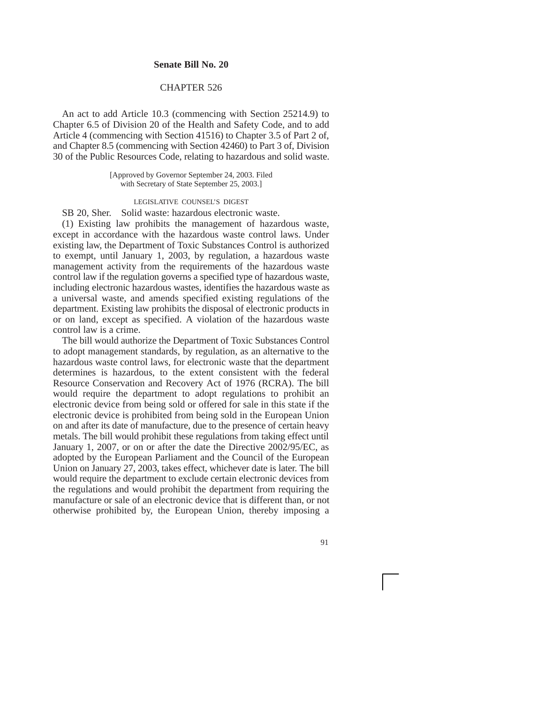## **Senate Bill No. 20**

# CHAPTER 526

An act to add Article 10.3 (commencing with Section 25214.9) to Chapter 6.5 of Division 20 of the Health and Safety Code, and to add Article 4 (commencing with Section 41516) to Chapter 3.5 of Part 2 of, and Chapter 8.5 (commencing with Section 42460) to Part 3 of, Division 30 of the Public Resources Code, relating to hazardous and solid waste.

> [Approved by Governor September 24, 2003. Filed with Secretary of State September 25, 2003.]

#### LEGISLATIVE COUNSEL'S DIGEST

SB 20, Sher. Solid waste: hazardous electronic waste.

(1) Existing law prohibits the management of hazardous waste, except in accordance with the hazardous waste control laws. Under existing law, the Department of Toxic Substances Control is authorized to exempt, until January 1, 2003, by regulation, a hazardous waste management activity from the requirements of the hazardous waste control law if the regulation governs a specified type of hazardous waste, including electronic hazardous wastes, identifies the hazardous waste as a universal waste, and amends specified existing regulations of the department. Existing law prohibits the disposal of electronic products in or on land, except as specified. A violation of the hazardous waste control law is a crime.

The bill would authorize the Department of Toxic Substances Control to adopt management standards, by regulation, as an alternative to the hazardous waste control laws, for electronic waste that the department determines is hazardous, to the extent consistent with the federal Resource Conservation and Recovery Act of 1976 (RCRA). The bill would require the department to adopt regulations to prohibit an electronic device from being sold or offered for sale in this state if the electronic device is prohibited from being sold in the European Union on and after its date of manufacture, due to the presence of certain heavy metals. The bill would prohibit these regulations from taking effect until January 1, 2007, or on or after the date the Directive 2002/95/EC, as adopted by the European Parliament and the Council of the European Union on January 27, 2003, takes effect, whichever date is later. The bill would require the department to exclude certain electronic devices from the regulations and would prohibit the department from requiring the manufacture or sale of an electronic device that is different than, or not otherwise prohibited by, the European Union, thereby imposing a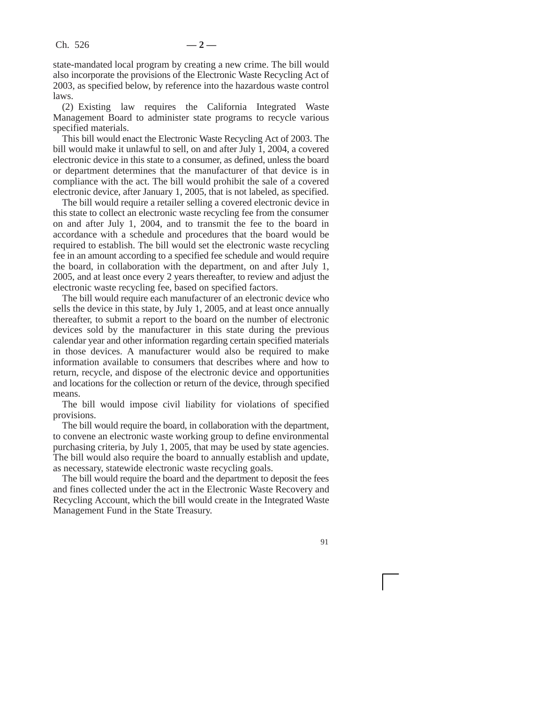state-mandated local program by creating a new crime. The bill would also incorporate the provisions of the Electronic Waste Recycling Act of 2003, as specified below, by reference into the hazardous waste control laws.

(2) Existing law requires the California Integrated Waste Management Board to administer state programs to recycle various specified materials.

This bill would enact the Electronic Waste Recycling Act of 2003. The bill would make it unlawful to sell, on and after July 1, 2004, a covered electronic device in this state to a consumer, as defined, unless the board or department determines that the manufacturer of that device is in compliance with the act. The bill would prohibit the sale of a covered electronic device, after January 1, 2005, that is not labeled, as specified.

The bill would require a retailer selling a covered electronic device in this state to collect an electronic waste recycling fee from the consumer on and after July 1, 2004, and to transmit the fee to the board in accordance with a schedule and procedures that the board would be required to establish. The bill would set the electronic waste recycling fee in an amount according to a specified fee schedule and would require the board, in collaboration with the department, on and after July 1, 2005, and at least once every 2 years thereafter, to review and adjust the electronic waste recycling fee, based on specified factors.

The bill would require each manufacturer of an electronic device who sells the device in this state, by July 1, 2005, and at least once annually thereafter, to submit a report to the board on the number of electronic devices sold by the manufacturer in this state during the previous calendar year and other information regarding certain specified materials in those devices. A manufacturer would also be required to make information available to consumers that describes where and how to return, recycle, and dispose of the electronic device and opportunities and locations for the collection or return of the device, through specified means.

The bill would impose civil liability for violations of specified provisions.

The bill would require the board, in collaboration with the department, to convene an electronic waste working group to define environmental purchasing criteria, by July 1, 2005, that may be used by state agencies. The bill would also require the board to annually establish and update, as necessary, statewide electronic waste recycling goals.

The bill would require the board and the department to deposit the fees and fines collected under the act in the Electronic Waste Recovery and Recycling Account, which the bill would create in the Integrated Waste Management Fund in the State Treasury.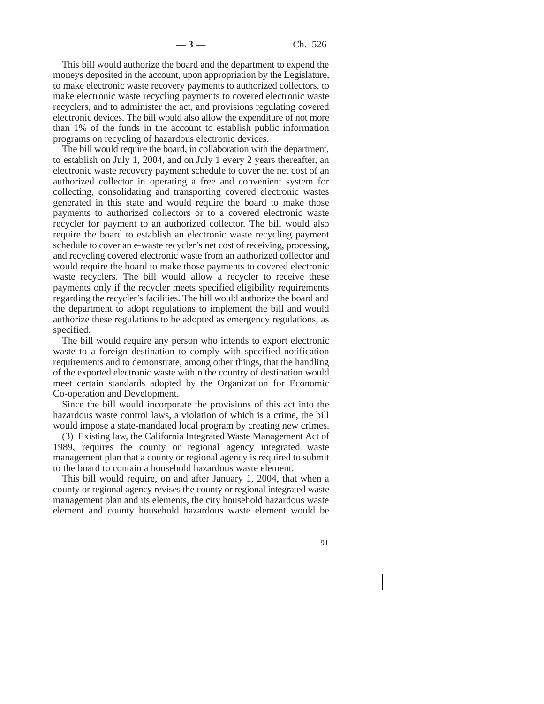This bill would authorize the board and the department to expend the moneys deposited in the account, upon appropriation by the Legislature, to make electronic waste recovery payments to authorized collectors, to make electronic waste recycling payments to covered electronic waste recyclers, and to administer the act, and provisions regulating covered electronic devices. The bill would also allow the expenditure of not more than 1% of the funds in the account to establish public information programs on recycling of hazardous electronic devices.

The bill would require the board, in collaboration with the department, to establish on July 1, 2004, and on July 1 every 2 years thereafter, an electronic waste recovery payment schedule to cover the net cost of an authorized collector in operating a free and convenient system for collecting, consolidating and transporting covered electronic wastes generated in this state and would require the board to make those payments to authorized collectors or to a covered electronic waste recycler for payment to an authorized collector. The bill would also require the board to establish an electronic waste recycling payment schedule to cover an e-waste recycler's net cost of receiving, processing, and recycling covered electronic waste from an authorized collector and would require the board to make those payments to covered electronic waste recyclers. The bill would allow a recycler to receive these payments only if the recycler meets specified eligibility requirements regarding the recycler's facilities. The bill would authorize the board and the department to adopt regulations to implement the bill and would authorize these regulations to be adopted as emergency regulations, as specified.

The bill would require any person who intends to export electronic waste to a foreign destination to comply with specified notification requirements and to demonstrate, among other things, that the handling of the exported electronic waste within the country of destination would meet certain standards adopted by the Organization for Economic Co-operation and Development.

Since the bill would incorporate the provisions of this act into the hazardous waste control laws, a violation of which is a crime, the bill would impose a state-mandated local program by creating new crimes.

(3) Existing law, the California Integrated Waste Management Act of 1989, requires the county or regional agency integrated waste management plan that a county or regional agency is required to submit to the board to contain a household hazardous waste element.

This bill would require, on and after January 1, 2004, that when a county or regional agency revises the county or regional integrated waste management plan and its elements, the city household hazardous waste element and county household hazardous waste element would be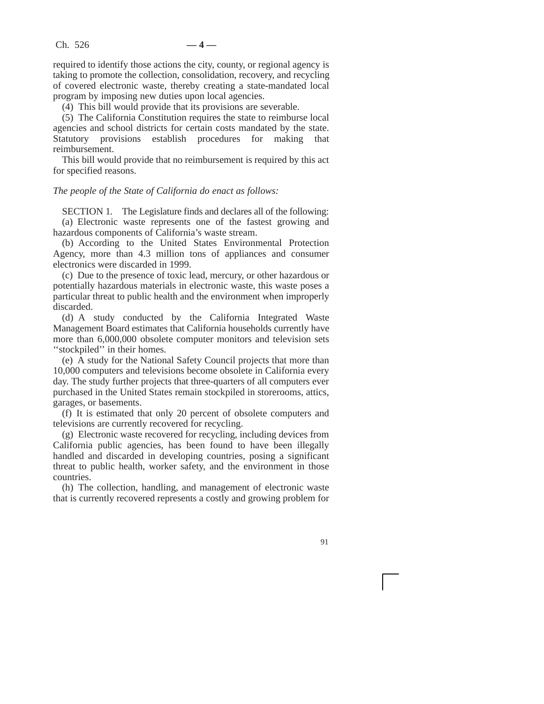required to identify those actions the city, county, or regional agency is taking to promote the collection, consolidation, recovery, and recycling of covered electronic waste, thereby creating a state-mandated local program by imposing new duties upon local agencies.

(4) This bill would provide that its provisions are severable.

(5) The California Constitution requires the state to reimburse local agencies and school districts for certain costs mandated by the state. Statutory provisions establish procedures for making that reimbursement.

This bill would provide that no reimbursement is required by this act for specified reasons.

# *The people of the State of California do enact as follows:*

SECTION 1. The Legislature finds and declares all of the following: (a) Electronic waste represents one of the fastest growing and hazardous components of California's waste stream.

(b) According to the United States Environmental Protection Agency, more than 4.3 million tons of appliances and consumer electronics were discarded in 1999.

(c) Due to the presence of toxic lead, mercury, or other hazardous or potentially hazardous materials in electronic waste, this waste poses a particular threat to public health and the environment when improperly discarded.

(d) A study conducted by the California Integrated Waste Management Board estimates that California households currently have more than 6,000,000 obsolete computer monitors and television sets ''stockpiled'' in their homes.

(e) A study for the National Safety Council projects that more than 10,000 computers and televisions become obsolete in California every day. The study further projects that three-quarters of all computers ever purchased in the United States remain stockpiled in storerooms, attics, garages, or basements.

(f) It is estimated that only 20 percent of obsolete computers and televisions are currently recovered for recycling.

(g) Electronic waste recovered for recycling, including devices from California public agencies, has been found to have been illegally handled and discarded in developing countries, posing a significant threat to public health, worker safety, and the environment in those countries.

(h) The collection, handling, and management of electronic waste that is currently recovered represents a costly and growing problem for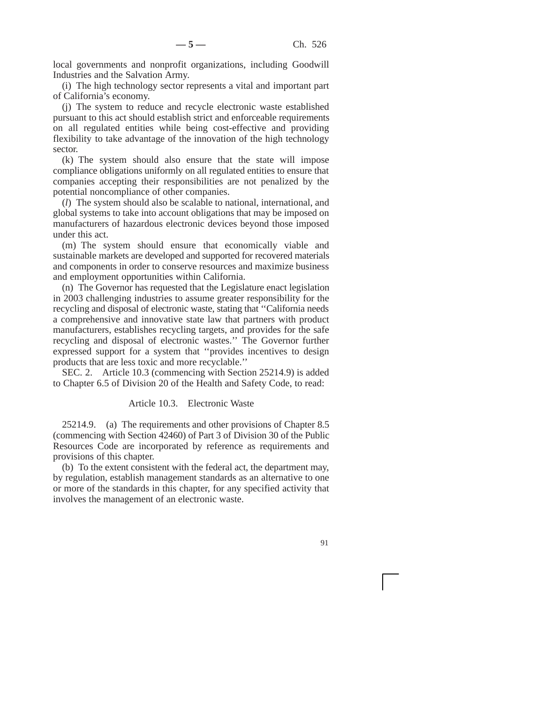local governments and nonprofit organizations, including Goodwill Industries and the Salvation Army.

(i) The high technology sector represents a vital and important part of California's economy.

(j) The system to reduce and recycle electronic waste established pursuant to this act should establish strict and enforceable requirements on all regulated entities while being cost-effective and providing flexibility to take advantage of the innovation of the high technology sector.

(k) The system should also ensure that the state will impose compliance obligations uniformly on all regulated entities to ensure that companies accepting their responsibilities are not penalized by the potential noncompliance of other companies.

(*l*) The system should also be scalable to national, international, and global systems to take into account obligations that may be imposed on manufacturers of hazardous electronic devices beyond those imposed under this act.

(m) The system should ensure that economically viable and sustainable markets are developed and supported for recovered materials and components in order to conserve resources and maximize business and employment opportunities within California.

(n) The Governor has requested that the Legislature enact legislation in 2003 challenging industries to assume greater responsibility for the recycling and disposal of electronic waste, stating that ''California needs a comprehensive and innovative state law that partners with product manufacturers, establishes recycling targets, and provides for the safe recycling and disposal of electronic wastes.'' The Governor further expressed support for a system that ''provides incentives to design products that are less toxic and more recyclable.''

SEC. 2. Article 10.3 (commencing with Section 25214.9) is added to Chapter 6.5 of Division 20 of the Health and Safety Code, to read:

## Article 10.3. Electronic Waste

25214.9. (a) The requirements and other provisions of Chapter 8.5 (commencing with Section 42460) of Part 3 of Division 30 of the Public Resources Code are incorporated by reference as requirements and provisions of this chapter.

(b) To the extent consistent with the federal act, the department may, by regulation, establish management standards as an alternative to one or more of the standards in this chapter, for any specified activity that involves the management of an electronic waste.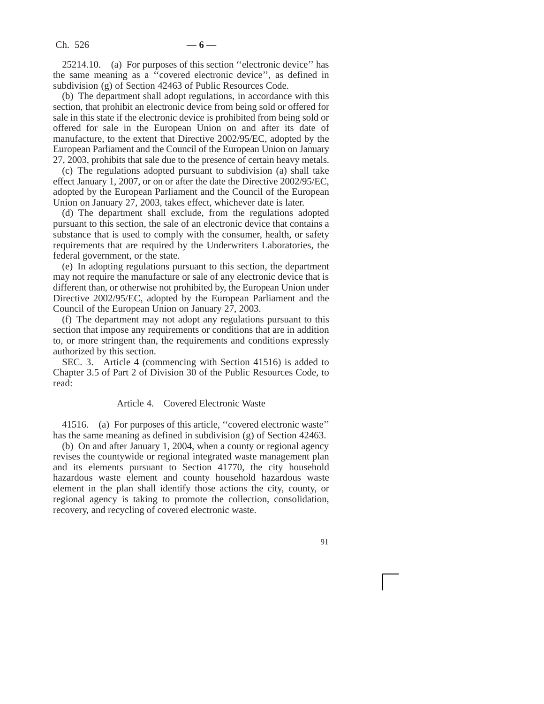25214.10. (a) For purposes of this section ''electronic device'' has the same meaning as a ''covered electronic device'', as defined in subdivision (g) of Section 42463 of Public Resources Code.

(b) The department shall adopt regulations, in accordance with this section, that prohibit an electronic device from being sold or offered for sale in this state if the electronic device is prohibited from being sold or offered for sale in the European Union on and after its date of manufacture, to the extent that Directive 2002/95/EC, adopted by the European Parliament and the Council of the European Union on January 27, 2003, prohibits that sale due to the presence of certain heavy metals.

(c) The regulations adopted pursuant to subdivision (a) shall take effect January 1, 2007, or on or after the date the Directive 2002/95/EC, adopted by the European Parliament and the Council of the European Union on January 27, 2003, takes effect, whichever date is later.

(d) The department shall exclude, from the regulations adopted pursuant to this section, the sale of an electronic device that contains a substance that is used to comply with the consumer, health, or safety requirements that are required by the Underwriters Laboratories, the federal government, or the state.

(e) In adopting regulations pursuant to this section, the department may not require the manufacture or sale of any electronic device that is different than, or otherwise not prohibited by, the European Union under Directive 2002/95/EC, adopted by the European Parliament and the Council of the European Union on January 27, 2003.

(f) The department may not adopt any regulations pursuant to this section that impose any requirements or conditions that are in addition to, or more stringent than, the requirements and conditions expressly authorized by this section.

SEC. 3. Article 4 (commencing with Section 41516) is added to Chapter 3.5 of Part 2 of Division 30 of the Public Resources Code, to read:

#### Article 4. Covered Electronic Waste

41516. (a) For purposes of this article, ''covered electronic waste'' has the same meaning as defined in subdivision (g) of Section 42463.

(b) On and after January 1, 2004, when a county or regional agency revises the countywide or regional integrated waste management plan and its elements pursuant to Section 41770, the city household hazardous waste element and county household hazardous waste element in the plan shall identify those actions the city, county, or regional agency is taking to promote the collection, consolidation, recovery, and recycling of covered electronic waste.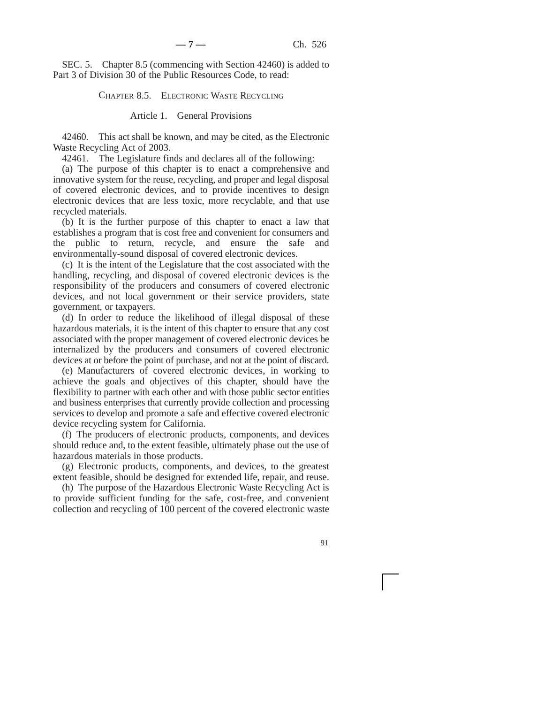SEC. 5. Chapter 8.5 (commencing with Section 42460) is added to Part 3 of Division 30 of the Public Resources Code, to read:

#### CHAPTER 8.5. ELECTRONIC WASTE RECYCLING

# Article 1. General Provisions

42460. This act shall be known, and may be cited, as the Electronic Waste Recycling Act of 2003.

42461. The Legislature finds and declares all of the following:

(a) The purpose of this chapter is to enact a comprehensive and innovative system for the reuse, recycling, and proper and legal disposal of covered electronic devices, and to provide incentives to design electronic devices that are less toxic, more recyclable, and that use recycled materials.

(b) It is the further purpose of this chapter to enact a law that establishes a program that is cost free and convenient for consumers and the public to return, recycle, and ensure the safe and environmentally-sound disposal of covered electronic devices.

(c) It is the intent of the Legislature that the cost associated with the handling, recycling, and disposal of covered electronic devices is the responsibility of the producers and consumers of covered electronic devices, and not local government or their service providers, state government, or taxpayers.

(d) In order to reduce the likelihood of illegal disposal of these hazardous materials, it is the intent of this chapter to ensure that any cost associated with the proper management of covered electronic devices be internalized by the producers and consumers of covered electronic devices at or before the point of purchase, and not at the point of discard.

(e) Manufacturers of covered electronic devices, in working to achieve the goals and objectives of this chapter, should have the flexibility to partner with each other and with those public sector entities and business enterprises that currently provide collection and processing services to develop and promote a safe and effective covered electronic device recycling system for California.

(f) The producers of electronic products, components, and devices should reduce and, to the extent feasible, ultimately phase out the use of hazardous materials in those products.

(g) Electronic products, components, and devices, to the greatest extent feasible, should be designed for extended life, repair, and reuse.

(h) The purpose of the Hazardous Electronic Waste Recycling Act is to provide sufficient funding for the safe, cost-free, and convenient collection and recycling of 100 percent of the covered electronic waste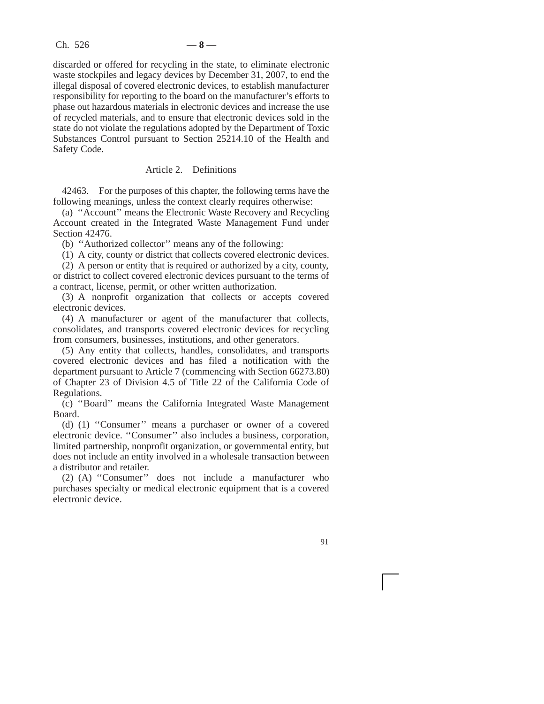discarded or offered for recycling in the state, to eliminate electronic waste stockpiles and legacy devices by December 31, 2007, to end the illegal disposal of covered electronic devices, to establish manufacturer responsibility for reporting to the board on the manufacturer's efforts to phase out hazardous materials in electronic devices and increase the use of recycled materials, and to ensure that electronic devices sold in the state do not violate the regulations adopted by the Department of Toxic Substances Control pursuant to Section 25214.10 of the Health and Safety Code.

## Article 2. Definitions

42463. For the purposes of this chapter, the following terms have the following meanings, unless the context clearly requires otherwise:

(a) ''Account'' means the Electronic Waste Recovery and Recycling Account created in the Integrated Waste Management Fund under Section 42476.

(b) ''Authorized collector'' means any of the following:

(1) A city, county or district that collects covered electronic devices.

(2) A person or entity that is required or authorized by a city, county, or district to collect covered electronic devices pursuant to the terms of a contract, license, permit, or other written authorization.

(3) A nonprofit organization that collects or accepts covered electronic devices.

(4) A manufacturer or agent of the manufacturer that collects, consolidates, and transports covered electronic devices for recycling from consumers, businesses, institutions, and other generators.

(5) Any entity that collects, handles, consolidates, and transports covered electronic devices and has filed a notification with the department pursuant to Article 7 (commencing with Section 66273.80) of Chapter 23 of Division 4.5 of Title 22 of the California Code of Regulations.

(c) ''Board'' means the California Integrated Waste Management Board.

(d) (1) ''Consumer'' means a purchaser or owner of a covered electronic device. ''Consumer'' also includes a business, corporation, limited partnership, nonprofit organization, or governmental entity, but does not include an entity involved in a wholesale transaction between a distributor and retailer.

(2) (A) ''Consumer'' does not include a manufacturer who purchases specialty or medical electronic equipment that is a covered electronic device.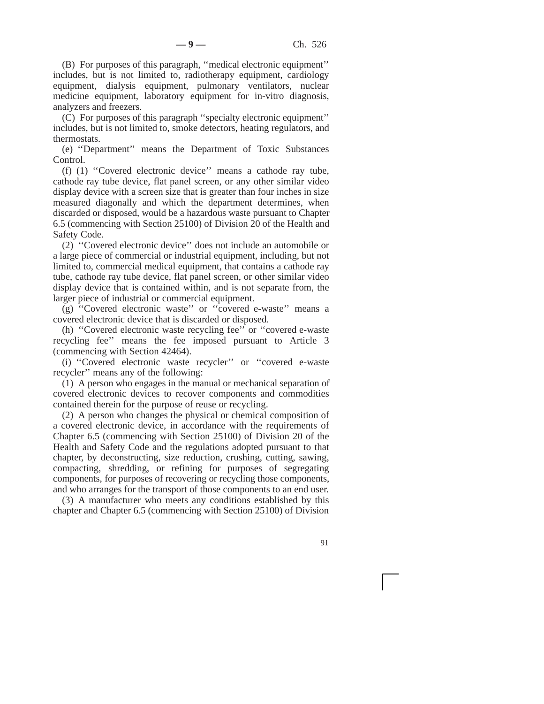(B) For purposes of this paragraph, ''medical electronic equipment'' includes, but is not limited to, radiotherapy equipment, cardiology equipment, dialysis equipment, pulmonary ventilators, nuclear medicine equipment, laboratory equipment for in-vitro diagnosis, analyzers and freezers.

(C) For purposes of this paragraph ''specialty electronic equipment'' includes, but is not limited to, smoke detectors, heating regulators, and thermostats.

(e) ''Department'' means the Department of Toxic Substances Control.

(f) (1) ''Covered electronic device'' means a cathode ray tube, cathode ray tube device, flat panel screen, or any other similar video display device with a screen size that is greater than four inches in size measured diagonally and which the department determines, when discarded or disposed, would be a hazardous waste pursuant to Chapter 6.5 (commencing with Section 25100) of Division 20 of the Health and Safety Code.

(2) ''Covered electronic device'' does not include an automobile or a large piece of commercial or industrial equipment, including, but not limited to, commercial medical equipment, that contains a cathode ray tube, cathode ray tube device, flat panel screen, or other similar video display device that is contained within, and is not separate from, the larger piece of industrial or commercial equipment.

(g) ''Covered electronic waste'' or ''covered e-waste'' means a covered electronic device that is discarded or disposed.

(h) ''Covered electronic waste recycling fee'' or ''covered e-waste recycling fee'' means the fee imposed pursuant to Article 3 (commencing with Section 42464).

(i) ''Covered electronic waste recycler'' or ''covered e-waste recycler'' means any of the following:

(1) A person who engages in the manual or mechanical separation of covered electronic devices to recover components and commodities contained therein for the purpose of reuse or recycling.

(2) A person who changes the physical or chemical composition of a covered electronic device, in accordance with the requirements of Chapter 6.5 (commencing with Section 25100) of Division 20 of the Health and Safety Code and the regulations adopted pursuant to that chapter, by deconstructing, size reduction, crushing, cutting, sawing, compacting, shredding, or refining for purposes of segregating components, for purposes of recovering or recycling those components, and who arranges for the transport of those components to an end user.

(3) A manufacturer who meets any conditions established by this chapter and Chapter 6.5 (commencing with Section 25100) of Division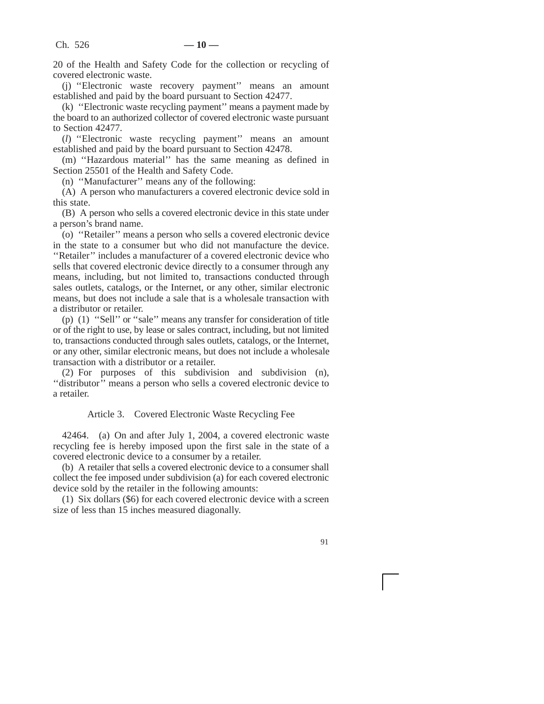20 of the Health and Safety Code for the collection or recycling of covered electronic waste.

(j) ''Electronic waste recovery payment'' means an amount established and paid by the board pursuant to Section 42477.

(k) ''Electronic waste recycling payment'' means a payment made by the board to an authorized collector of covered electronic waste pursuant to Section 42477.

(*l*) ''Electronic waste recycling payment'' means an amount established and paid by the board pursuant to Section 42478.

(m) ''Hazardous material'' has the same meaning as defined in Section 25501 of the Health and Safety Code.

(n) ''Manufacturer'' means any of the following:

(A) A person who manufacturers a covered electronic device sold in this state.

(B) A person who sells a covered electronic device in this state under a person's brand name.

(o) ''Retailer'' means a person who sells a covered electronic device in the state to a consumer but who did not manufacture the device. ''Retailer'' includes a manufacturer of a covered electronic device who sells that covered electronic device directly to a consumer through any means, including, but not limited to, transactions conducted through sales outlets, catalogs, or the Internet, or any other, similar electronic means, but does not include a sale that is a wholesale transaction with a distributor or retailer.

(p) (1) ''Sell'' or ''sale'' means any transfer for consideration of title or of the right to use, by lease or sales contract, including, but not limited to, transactions conducted through sales outlets, catalogs, or the Internet, or any other, similar electronic means, but does not include a wholesale transaction with a distributor or a retailer.

(2) For purposes of this subdivision and subdivision (n), ''distributor'' means a person who sells a covered electronic device to a retailer.

Article 3. Covered Electronic Waste Recycling Fee

42464. (a) On and after July 1, 2004, a covered electronic waste recycling fee is hereby imposed upon the first sale in the state of a covered electronic device to a consumer by a retailer.

(b) A retailer that sells a covered electronic device to a consumer shall collect the fee imposed under subdivision (a) for each covered electronic device sold by the retailer in the following amounts:

(1) Six dollars (\$6) for each covered electronic device with a screen size of less than 15 inches measured diagonally.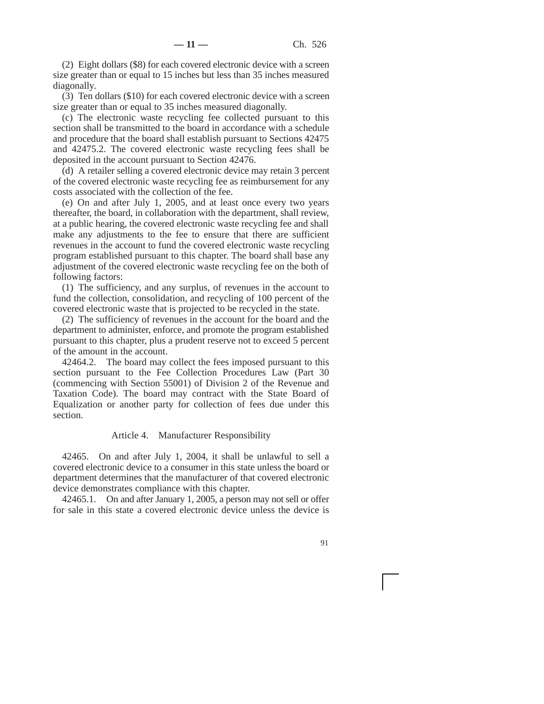(2) Eight dollars (\$8) for each covered electronic device with a screen size greater than or equal to 15 inches but less than 35 inches measured diagonally.

(3) Ten dollars (\$10) for each covered electronic device with a screen size greater than or equal to 35 inches measured diagonally.

(c) The electronic waste recycling fee collected pursuant to this section shall be transmitted to the board in accordance with a schedule and procedure that the board shall establish pursuant to Sections 42475 and 42475.2. The covered electronic waste recycling fees shall be deposited in the account pursuant to Section 42476.

(d) A retailer selling a covered electronic device may retain 3 percent of the covered electronic waste recycling fee as reimbursement for any costs associated with the collection of the fee.

(e) On and after July 1, 2005, and at least once every two years thereafter, the board, in collaboration with the department, shall review, at a public hearing, the covered electronic waste recycling fee and shall make any adjustments to the fee to ensure that there are sufficient revenues in the account to fund the covered electronic waste recycling program established pursuant to this chapter. The board shall base any adjustment of the covered electronic waste recycling fee on the both of following factors:

(1) The sufficiency, and any surplus, of revenues in the account to fund the collection, consolidation, and recycling of 100 percent of the covered electronic waste that is projected to be recycled in the state.

(2) The sufficiency of revenues in the account for the board and the department to administer, enforce, and promote the program established pursuant to this chapter, plus a prudent reserve not to exceed 5 percent of the amount in the account.

42464.2. The board may collect the fees imposed pursuant to this section pursuant to the Fee Collection Procedures Law (Part 30 (commencing with Section 55001) of Division 2 of the Revenue and Taxation Code). The board may contract with the State Board of Equalization or another party for collection of fees due under this section.

# Article 4. Manufacturer Responsibility

42465. On and after July 1, 2004, it shall be unlawful to sell a covered electronic device to a consumer in this state unless the board or department determines that the manufacturer of that covered electronic device demonstrates compliance with this chapter.

42465.1. On and after January 1, 2005, a person may not sell or offer for sale in this state a covered electronic device unless the device is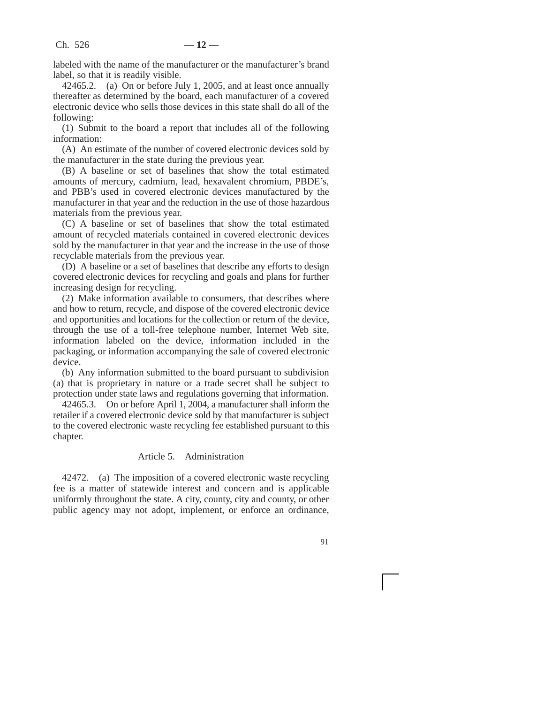labeled with the name of the manufacturer or the manufacturer's brand label, so that it is readily visible.

42465.2. (a) On or before July 1, 2005, and at least once annually thereafter as determined by the board, each manufacturer of a covered electronic device who sells those devices in this state shall do all of the following:

(1) Submit to the board a report that includes all of the following information:

(A) An estimate of the number of covered electronic devices sold by the manufacturer in the state during the previous year.

(B) A baseline or set of baselines that show the total estimated amounts of mercury, cadmium, lead, hexavalent chromium, PBDE's, and PBB's used in covered electronic devices manufactured by the manufacturer in that year and the reduction in the use of those hazardous materials from the previous year.

(C) A baseline or set of baselines that show the total estimated amount of recycled materials contained in covered electronic devices sold by the manufacturer in that year and the increase in the use of those recyclable materials from the previous year.

(D) A baseline or a set of baselines that describe any efforts to design covered electronic devices for recycling and goals and plans for further increasing design for recycling.

(2) Make information available to consumers, that describes where and how to return, recycle, and dispose of the covered electronic device and opportunities and locations for the collection or return of the device, through the use of a toll-free telephone number, Internet Web site, information labeled on the device, information included in the packaging, or information accompanying the sale of covered electronic device.

(b) Any information submitted to the board pursuant to subdivision (a) that is proprietary in nature or a trade secret shall be subject to protection under state laws and regulations governing that information.

42465.3. On or before April 1, 2004, a manufacturer shall inform the retailer if a covered electronic device sold by that manufacturer is subject to the covered electronic waste recycling fee established pursuant to this chapter.

# Article 5. Administration

42472. (a) The imposition of a covered electronic waste recycling fee is a matter of statewide interest and concern and is applicable uniformly throughout the state. A city, county, city and county, or other public agency may not adopt, implement, or enforce an ordinance,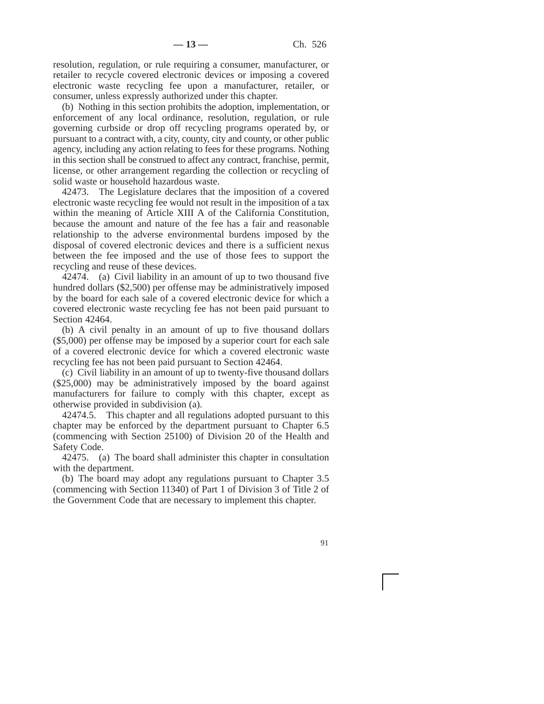resolution, regulation, or rule requiring a consumer, manufacturer, or retailer to recycle covered electronic devices or imposing a covered electronic waste recycling fee upon a manufacturer, retailer, or consumer, unless expressly authorized under this chapter.

(b) Nothing in this section prohibits the adoption, implementation, or enforcement of any local ordinance, resolution, regulation, or rule governing curbside or drop off recycling programs operated by, or pursuant to a contract with, a city, county, city and county, or other public agency, including any action relating to fees for these programs. Nothing in this section shall be construed to affect any contract, franchise, permit, license, or other arrangement regarding the collection or recycling of solid waste or household hazardous waste.

42473. The Legislature declares that the imposition of a covered electronic waste recycling fee would not result in the imposition of a tax within the meaning of Article XIII A of the California Constitution, because the amount and nature of the fee has a fair and reasonable relationship to the adverse environmental burdens imposed by the disposal of covered electronic devices and there is a sufficient nexus between the fee imposed and the use of those fees to support the recycling and reuse of these devices.

42474. (a) Civil liability in an amount of up to two thousand five hundred dollars (\$2,500) per offense may be administratively imposed by the board for each sale of a covered electronic device for which a covered electronic waste recycling fee has not been paid pursuant to Section 42464.

(b) A civil penalty in an amount of up to five thousand dollars (\$5,000) per offense may be imposed by a superior court for each sale of a covered electronic device for which a covered electronic waste recycling fee has not been paid pursuant to Section 42464.

(c) Civil liability in an amount of up to twenty-five thousand dollars (\$25,000) may be administratively imposed by the board against manufacturers for failure to comply with this chapter, except as otherwise provided in subdivision (a).

42474.5. This chapter and all regulations adopted pursuant to this chapter may be enforced by the department pursuant to Chapter 6.5 (commencing with Section 25100) of Division 20 of the Health and Safety Code.

42475. (a) The board shall administer this chapter in consultation with the department.

(b) The board may adopt any regulations pursuant to Chapter 3.5 (commencing with Section 11340) of Part 1 of Division 3 of Title 2 of the Government Code that are necessary to implement this chapter.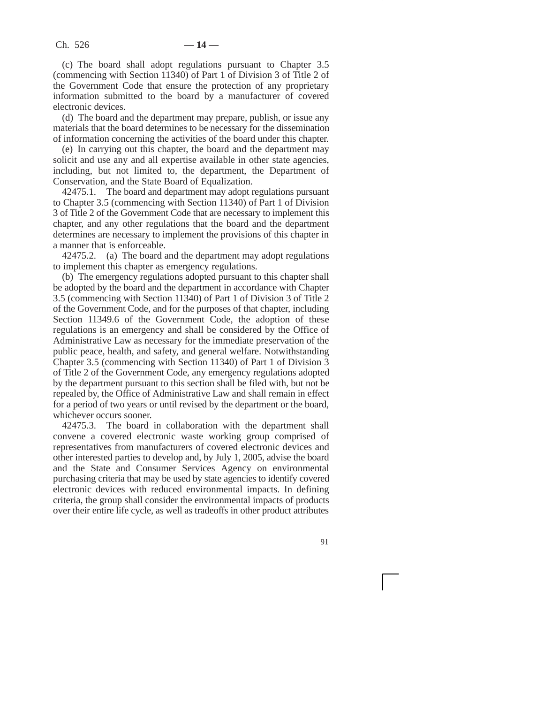(c) The board shall adopt regulations pursuant to Chapter 3.5 (commencing with Section 11340) of Part 1 of Division 3 of Title 2 of the Government Code that ensure the protection of any proprietary information submitted to the board by a manufacturer of covered electronic devices.

(d) The board and the department may prepare, publish, or issue any materials that the board determines to be necessary for the dissemination of information concerning the activities of the board under this chapter.

(e) In carrying out this chapter, the board and the department may solicit and use any and all expertise available in other state agencies, including, but not limited to, the department, the Department of Conservation, and the State Board of Equalization.

42475.1. The board and department may adopt regulations pursuant to Chapter 3.5 (commencing with Section 11340) of Part 1 of Division 3 of Title 2 of the Government Code that are necessary to implement this chapter, and any other regulations that the board and the department determines are necessary to implement the provisions of this chapter in a manner that is enforceable.

42475.2. (a) The board and the department may adopt regulations to implement this chapter as emergency regulations.

(b) The emergency regulations adopted pursuant to this chapter shall be adopted by the board and the department in accordance with Chapter 3.5 (commencing with Section 11340) of Part 1 of Division 3 of Title 2 of the Government Code, and for the purposes of that chapter, including Section 11349.6 of the Government Code, the adoption of these regulations is an emergency and shall be considered by the Office of Administrative Law as necessary for the immediate preservation of the public peace, health, and safety, and general welfare. Notwithstanding Chapter 3.5 (commencing with Section 11340) of Part 1 of Division 3 of Title 2 of the Government Code, any emergency regulations adopted by the department pursuant to this section shall be filed with, but not be repealed by, the Office of Administrative Law and shall remain in effect for a period of two years or until revised by the department or the board, whichever occurs sooner.

42475.3. The board in collaboration with the department shall convene a covered electronic waste working group comprised of representatives from manufacturers of covered electronic devices and other interested parties to develop and, by July 1, 2005, advise the board and the State and Consumer Services Agency on environmental purchasing criteria that may be used by state agencies to identify covered electronic devices with reduced environmental impacts. In defining criteria, the group shall consider the environmental impacts of products over their entire life cycle, as well as tradeoffs in other product attributes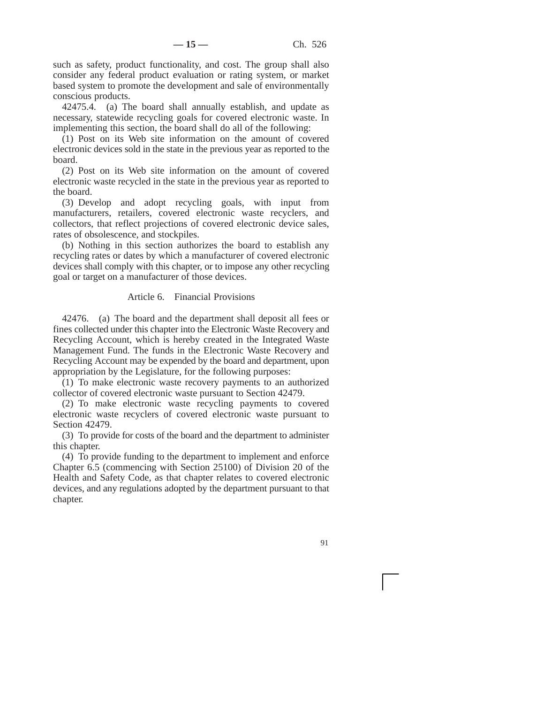such as safety, product functionality, and cost. The group shall also consider any federal product evaluation or rating system, or market based system to promote the development and sale of environmentally conscious products.

42475.4. (a) The board shall annually establish, and update as necessary, statewide recycling goals for covered electronic waste. In implementing this section, the board shall do all of the following:

(1) Post on its Web site information on the amount of covered electronic devices sold in the state in the previous year as reported to the board.

(2) Post on its Web site information on the amount of covered electronic waste recycled in the state in the previous year as reported to the board.

(3) Develop and adopt recycling goals, with input from manufacturers, retailers, covered electronic waste recyclers, and collectors, that reflect projections of covered electronic device sales, rates of obsolescence, and stockpiles.

(b) Nothing in this section authorizes the board to establish any recycling rates or dates by which a manufacturer of covered electronic devices shall comply with this chapter, or to impose any other recycling goal or target on a manufacturer of those devices.

# Article 6. Financial Provisions

42476. (a) The board and the department shall deposit all fees or fines collected under this chapter into the Electronic Waste Recovery and Recycling Account, which is hereby created in the Integrated Waste Management Fund. The funds in the Electronic Waste Recovery and Recycling Account may be expended by the board and department, upon appropriation by the Legislature, for the following purposes:

(1) To make electronic waste recovery payments to an authorized collector of covered electronic waste pursuant to Section 42479.

(2) To make electronic waste recycling payments to covered electronic waste recyclers of covered electronic waste pursuant to Section 42479.

(3) To provide for costs of the board and the department to administer this chapter.

(4) To provide funding to the department to implement and enforce Chapter 6.5 (commencing with Section 25100) of Division 20 of the Health and Safety Code, as that chapter relates to covered electronic devices, and any regulations adopted by the department pursuant to that chapter.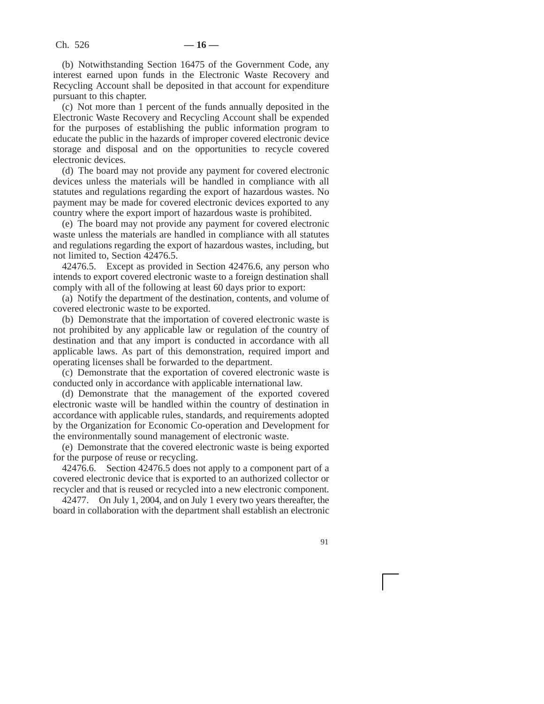(b) Notwithstanding Section 16475 of the Government Code, any interest earned upon funds in the Electronic Waste Recovery and Recycling Account shall be deposited in that account for expenditure pursuant to this chapter.

(c) Not more than 1 percent of the funds annually deposited in the Electronic Waste Recovery and Recycling Account shall be expended for the purposes of establishing the public information program to educate the public in the hazards of improper covered electronic device storage and disposal and on the opportunities to recycle covered electronic devices.

(d) The board may not provide any payment for covered electronic devices unless the materials will be handled in compliance with all statutes and regulations regarding the export of hazardous wastes. No payment may be made for covered electronic devices exported to any country where the export import of hazardous waste is prohibited.

(e) The board may not provide any payment for covered electronic waste unless the materials are handled in compliance with all statutes and regulations regarding the export of hazardous wastes, including, but not limited to, Section 42476.5.

42476.5. Except as provided in Section 42476.6, any person who intends to export covered electronic waste to a foreign destination shall comply with all of the following at least 60 days prior to export:

(a) Notify the department of the destination, contents, and volume of covered electronic waste to be exported.

(b) Demonstrate that the importation of covered electronic waste is not prohibited by any applicable law or regulation of the country of destination and that any import is conducted in accordance with all applicable laws. As part of this demonstration, required import and operating licenses shall be forwarded to the department.

(c) Demonstrate that the exportation of covered electronic waste is conducted only in accordance with applicable international law.

(d) Demonstrate that the management of the exported covered electronic waste will be handled within the country of destination in accordance with applicable rules, standards, and requirements adopted by the Organization for Economic Co-operation and Development for the environmentally sound management of electronic waste.

(e) Demonstrate that the covered electronic waste is being exported for the purpose of reuse or recycling.

42476.6. Section 42476.5 does not apply to a component part of a covered electronic device that is exported to an authorized collector or recycler and that is reused or recycled into a new electronic component.

42477. On July 1, 2004, and on July 1 every two years thereafter, the board in collaboration with the department shall establish an electronic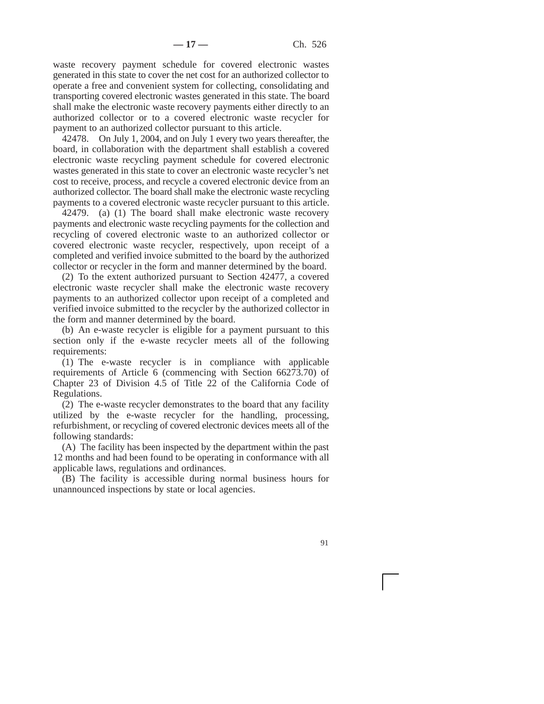waste recovery payment schedule for covered electronic wastes generated in this state to cover the net cost for an authorized collector to operate a free and convenient system for collecting, consolidating and transporting covered electronic wastes generated in this state. The board shall make the electronic waste recovery payments either directly to an authorized collector or to a covered electronic waste recycler for payment to an authorized collector pursuant to this article.

42478. On July 1, 2004, and on July 1 every two years thereafter, the board, in collaboration with the department shall establish a covered electronic waste recycling payment schedule for covered electronic wastes generated in this state to cover an electronic waste recycler's net cost to receive, process, and recycle a covered electronic device from an authorized collector. The board shall make the electronic waste recycling payments to a covered electronic waste recycler pursuant to this article.

42479. (a) (1) The board shall make electronic waste recovery payments and electronic waste recycling payments for the collection and recycling of covered electronic waste to an authorized collector or covered electronic waste recycler, respectively, upon receipt of a completed and verified invoice submitted to the board by the authorized collector or recycler in the form and manner determined by the board.

(2) To the extent authorized pursuant to Section 42477, a covered electronic waste recycler shall make the electronic waste recovery payments to an authorized collector upon receipt of a completed and verified invoice submitted to the recycler by the authorized collector in the form and manner determined by the board.

(b) An e-waste recycler is eligible for a payment pursuant to this section only if the e-waste recycler meets all of the following requirements:

(1) The e-waste recycler is in compliance with applicable requirements of Article 6 (commencing with Section 66273.70) of Chapter 23 of Division 4.5 of Title 22 of the California Code of Regulations.

(2) The e-waste recycler demonstrates to the board that any facility utilized by the e-waste recycler for the handling, processing, refurbishment, or recycling of covered electronic devices meets all of the following standards:

(A) The facility has been inspected by the department within the past 12 months and had been found to be operating in conformance with all applicable laws, regulations and ordinances.

(B) The facility is accessible during normal business hours for unannounced inspections by state or local agencies.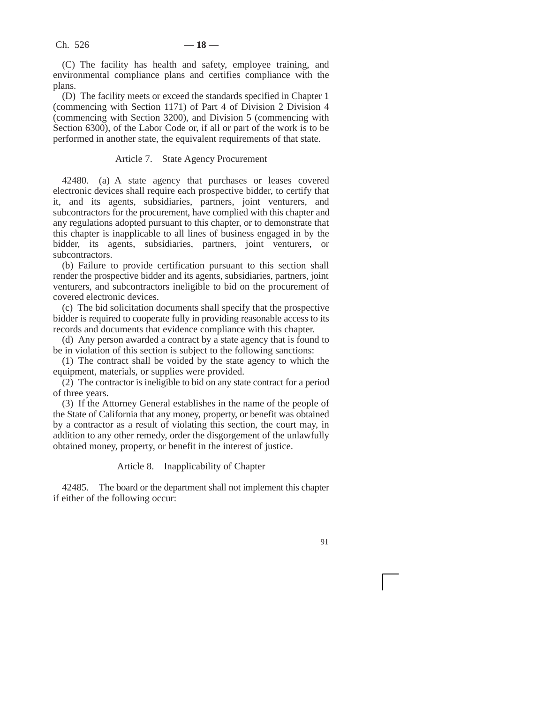(C) The facility has health and safety, employee training, and environmental compliance plans and certifies compliance with the plans.

(D) The facility meets or exceed the standards specified in Chapter 1 (commencing with Section 1171) of Part 4 of Division 2 Division 4 (commencing with Section 3200), and Division 5 (commencing with Section 6300), of the Labor Code or, if all or part of the work is to be performed in another state, the equivalent requirements of that state.

#### Article 7. State Agency Procurement

42480. (a) A state agency that purchases or leases covered electronic devices shall require each prospective bidder, to certify that it, and its agents, subsidiaries, partners, joint venturers, and subcontractors for the procurement, have complied with this chapter and any regulations adopted pursuant to this chapter, or to demonstrate that this chapter is inapplicable to all lines of business engaged in by the bidder, its agents, subsidiaries, partners, joint venturers, or subcontractors.

(b) Failure to provide certification pursuant to this section shall render the prospective bidder and its agents, subsidiaries, partners, joint venturers, and subcontractors ineligible to bid on the procurement of covered electronic devices.

(c) The bid solicitation documents shall specify that the prospective bidder is required to cooperate fully in providing reasonable access to its records and documents that evidence compliance with this chapter.

(d) Any person awarded a contract by a state agency that is found to be in violation of this section is subject to the following sanctions:

(1) The contract shall be voided by the state agency to which the equipment, materials, or supplies were provided.

(2) The contractor is ineligible to bid on any state contract for a period of three years.

(3) If the Attorney General establishes in the name of the people of the State of California that any money, property, or benefit was obtained by a contractor as a result of violating this section, the court may, in addition to any other remedy, order the disgorgement of the unlawfully obtained money, property, or benefit in the interest of justice.

Article 8. Inapplicability of Chapter

42485. The board or the department shall not implement this chapter if either of the following occur: